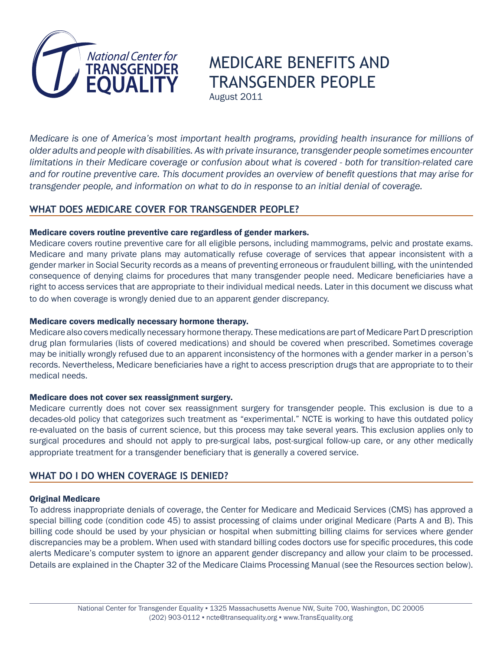

# MEDICARE BENEFITS AND TRANSGENDER PEOPLE

August 2011

*Medicare is one of America's most important health programs, providing health insurance for millions of older adults and people with disabilities. As with private insurance, transgender people sometimes encounter limitations in their Medicare coverage or confusion about what is covered - both for transition-related care and for routine preventive care. This document provides an overview of benefit questions that may arise for transgender people, and information on what to do in response to an initial denial of coverage.*

## **WHAT DOES MEDICARE COVER FOR TRANSGENDER PEOPLE?**

#### Medicare covers routine preventive care regardless of gender markers.

Medicare covers routine preventive care for all eligible persons, including mammograms, pelvic and prostate exams. Medicare and many private plans may automatically refuse coverage of services that appear inconsistent with a gender marker in Social Security records as a means of preventing erroneous or fraudulent billing, with the unintended consequence of denying claims for procedures that many transgender people need. Medicare beneficiaries have a right to access services that are appropriate to their individual medical needs. Later in this document we discuss what to do when coverage is wrongly denied due to an apparent gender discrepancy.

### Medicare covers medically necessary hormone therapy.

Medicare also covers medically necessary hormone therapy. These medications are part of Medicare Part D prescription drug plan formularies (lists of covered medications) and should be covered when prescribed. Sometimes coverage may be initially wrongly refused due to an apparent inconsistency of the hormones with a gender marker in a person's records. Nevertheless, Medicare beneficiaries have a right to access prescription drugs that are appropriate to to their medical needs.

#### Medicare does not cover sex reassignment surgery.

Medicare currently does not cover sex reassignment surgery for transgender people. This exclusion is due to a decades-old policy that categorizes such treatment as "experimental." NCTE is working to have this outdated policy re-evaluated on the basis of current science, but this process may take several years. This exclusion applies only to surgical procedures and should not apply to pre-surgical labs, post-surgical follow-up care, or any other medically appropriate treatment for a transgender beneficiary that is generally a covered service.

# **WHAT DO I DO WHEN COVERAGE IS DENIED?**

## Original Medicare

To address inappropriate denials of coverage, the Center for Medicare and Medicaid Services (CMS) has approved a special billing code (condition code 45) to assist processing of claims under original Medicare (Parts A and B). This billing code should be used by your physician or hospital when submitting billing claims for services where gender discrepancies may be a problem. When used with standard billing codes doctors use for specific procedures, this code alerts Medicare's computer system to ignore an apparent gender discrepancy and allow your claim to be processed. Details are explained in the Chapter 32 of the Medicare Claims Processing Manual (see the Resources section below).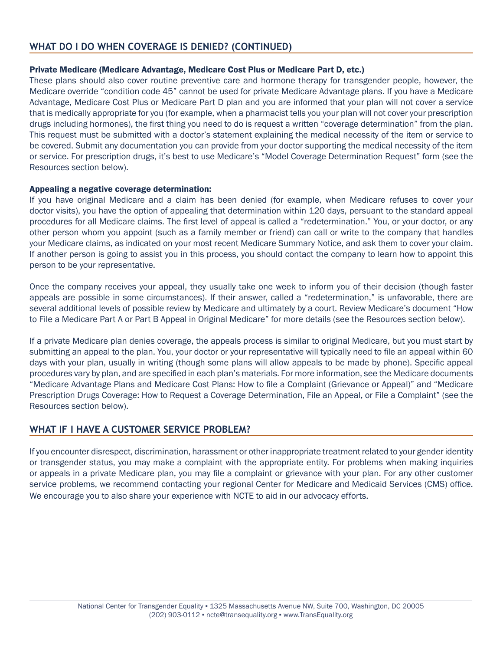## **WHAT DO I DO WHEN COVERAGE IS DENIED? (continued)**

#### Private Medicare (Medicare Advantage, Medicare Cost Plus or Medicare Part D, etc.)

These plans should also cover routine preventive care and hormone therapy for transgender people, however, the Medicare override "condition code 45" cannot be used for private Medicare Advantage plans. If you have a Medicare Advantage, Medicare Cost Plus or Medicare Part D plan and you are informed that your plan will not cover a service that is medically appropriate for you (for example, when a pharmacist tells you your plan will not cover your prescription drugs including hormones), the first thing you need to do is request a written "coverage determination" from the plan. This request must be submitted with a doctor's statement explaining the medical necessity of the item or service to be covered. Submit any documentation you can provide from your doctor supporting the medical necessity of the item or service. For prescription drugs, it's best to use Medicare's "Model Coverage Determination Request" form (see the Resources section below).

#### Appealing a negative coverage determination:

If you have original Medicare and a claim has been denied (for example, when Medicare refuses to cover your doctor visits), you have the option of appealing that determination within 120 days, persuant to the standard appeal procedures for all Medicare claims. The first level of appeal is called a "redetermination." You, or your doctor, or any other person whom you appoint (such as a family member or friend) can call or write to the company that handles your Medicare claims, as indicated on your most recent Medicare Summary Notice, and ask them to cover your claim. If another person is going to assist you in this process, you should contact the company to learn how to appoint this person to be your representative.

Once the company receives your appeal, they usually take one week to inform you of their decision (though faster appeals are possible in some circumstances). If their answer, called a "redetermination," is unfavorable, there are several additional levels of possible review by Medicare and ultimately by a court. Review Medicare's document "How to File a Medicare Part A or Part B Appeal in Original Medicare" for more details (see the Resources section below).

If a private Medicare plan denies coverage, the appeals process is similar to original Medicare, but you must start by submitting an appeal to the plan. You, your doctor or your representative will typically need to file an appeal within 60 days with your plan, usually in writing (though some plans will allow appeals to be made by phone). Specific appeal procedures vary by plan, and are specified in each plan's materials. For more information, see the Medicare documents "Medicare Advantage Plans and Medicare Cost Plans: How to file a Complaint (Grievance or Appeal)" and "Medicare Prescription Drugs Coverage: How to Request a Coverage Determination, File an Appeal, or File a Complaint" (see the Resources section below).

# **WHAT If I have a customer service problem?**

If you encounter disrespect, discrimination, harassment or other inappropriate treatment related to your gender identity or transgender status, you may make a complaint with the appropriate entity. For problems when making inquiries or appeals in a private Medicare plan, you may file a complaint or grievance with your plan. For any other customer service problems, we recommend contacting your regional Center for Medicare and Medicaid Services (CMS) office. We encourage you to also share your experience with NCTE to aid in our advocacy efforts.